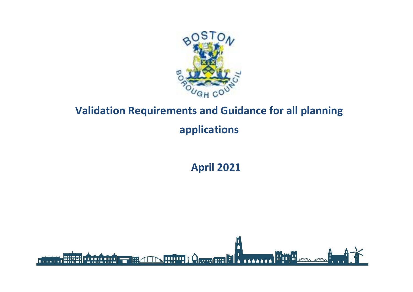

# **Validation Requirements and Guidance for all planning applications**

**April 2021**

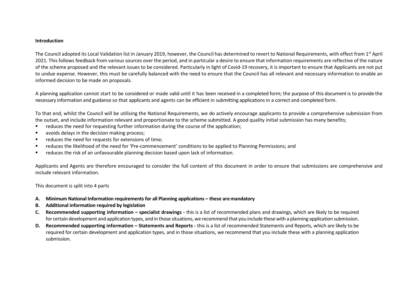#### **Introduction**

The Council adopted its Local Validation list in January 2019, however, the Council has determined to revert to National Requirements, with effect from 1<sup>st</sup> April 2021. This follows feedback from various sources over the period, and in particular a desire to ensure that information requirements are reflective of the nature of the scheme proposed and the relevant issues to be considered. Particularly in light of Covid-19 recovery, it is important to ensure that Applicants are not put to undue expense. However, this must be carefully balanced with the need to ensure that the Council has all relevant and necessary information to enable an informed decision to be made on proposals.

A planning application cannot start to be considered or made valid until it has been received in a completed form; the purpose of this document is to provide the necessary information and guidance so that applicants and agents can be efficient in submitting applications in a correct and completed form.

To that end, whilst the Council will be utilising the National Requirements, we do actively encourage applicants to provide a comprehensive submission from the outset, and include information relevant and proportionate to the scheme submitted. A good quality initial submission has many benefits;

- **•** reduces the need for requesting further information during the course of the application;
- **a** avoids delays in the decision making process;
- **•** reduces the need for requests for extensions of time;
- reduces the likelihood of the need for 'Pre-commencement' conditions to be applied to Planning Permissions; and
- reduces the risk of an unfavourable planning decision based upon lack of information.

Applicants and Agents are therefore encouraged to consider the full content of this document in order to ensure that submissions are comprehensive and include relevant information.

This document is split into 4 parts

- **A. Minimum National Information requirements for all Planning applications – these aremandatory**
- **B. Additional information required by legislation**
- **C. Recommended supporting information – specialist drawings -** this is a list of recommended plans and drawings, which are likely to be required for certain development and application types, and in those situations, we recommend that you include these with a planning application submission.
- **D. Recommended supporting information – Statements and Reports -** this is a list of recommended Statements and Reports, which are likely to be required for certain development and application types, and in those situations, we recommend that you include these with a planning application submission.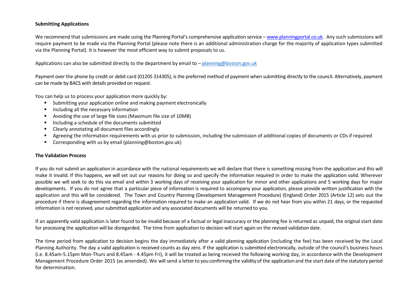## **Submitting Applications**

We recommend that submissions are made using the Planning Portal's comprehensive application service – [www.planningportal.co.uk.](http://www.planningportal.co.uk/) Any such submissions will require payment to be made via the Planning Portal (please note there is an additional administration charge for the majority of application types submitted via the Planning Portal). It is however the most efficient way to submit proposals to us.

Applications can also be submitted directly to the department by email to – [planning@boston.gov.uk](mailto:–%20planning@boston.gov.uk)

Payment over the phone by credit or debit card (01205 314305), is the preferred method of payment when submitting directly to the council. Alternatively, payment can be made by BACS with details provided on request.

You can help us to process your application more quickly by:

- Submitting your application online and making payment electronically
- **Including all the necessary information**
- Avoiding the use of large file sizes (Maximum file size of 10MB)
- Including a schedule of the documents submitted
- Clearly annotating all document files accordingly
- Agreeing the information requirements with us prior to submission, including the submission of additional copies of documents or CDs if required
- Corresponding with us by email (planning@boston.gov.uk)

#### **The Validation Process**

If you do not submit an application in accordance with the national requirements we will declare that there is something missing from the application and this will make it invalid. If this happens, we will set out our reasons for doing so and specify the information required in order to make the application valid. Wherever possible we will seek to do this via email and within 3 working days of receiving your application for minor and other applications and 5 working days for major developments. If you do not agree that a particular piece of information is required to accompany your application, please provide written justification with the application and this will be considered. The Town and Country Planning (Development Management Procedure) (England) Order 2015 (Article 12) sets out the procedure if there is disagreement regarding the information required to make an application valid. If we do not hear from you within 21 days, or the requested information is not received, your submitted application and any associated documents will be returned to you.

If an apparently valid application is later found to be invalid because of a factual or legal inaccuracy or the planning fee is returned as unpaid, the original start date for processing the application will be disregarded. The time from application to decision will start again on the revised validation date.

The time period from application to decision begins the day immediately after a valid planning application (including the fee) has been received by the Local Planning Authority. The day a valid application is received counts as day zero. If the application is submitted electronically, outside of the council's business hours (i.e. 8.45am-5.15pm Mon-Thurs and 8.45am - 4.45pm Fri), it will be treated as being received the following working day, in accordance with the Development Management Procedure Order 2015 (as amended). We will send a letterto you confirming the validity of the application and the start date ofthe statutory period for determination.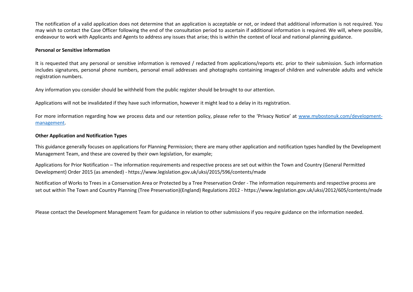The notification of a valid application does not determine that an application is acceptable or not, or indeed that additional information is not required. You may wish to contact the Case Officer following the end of the consultation period to ascertain if additional information is required. We will, where possible, endeavour to work with Applicants and Agents to address any issues that arise; this is within the context of local and national planning guidance.

#### **Personal or Sensitive information**

It is requested that any personal or sensitive information is removed / redacted from applications/reports etc. prior to their submission. Such information includes signatures, personal phone numbers, personal email addresses and photographs containing imagesof children and vulnerable adults and vehicle registration numbers.

Any information you consider should be withheld from the public register should be brought to our attention.

Applications will not be invalidated if they have such information, however it might lead to a delay in its registration.

For more information regarding how we process data and our retention policy, please refer to the 'Privacy Notice' at [www.mybostonuk.com/development](http://www.mybostonuk.com/development-management)[management.](http://www.mybostonuk.com/development-management)

#### **Other Application and Notification Types**

This guidance generally focuses on applications for Planning Permission; there are many other application and notification types handled by the Development Management Team, and these are covered by their own legislation, for example;

Applications for Prior Notification – The information requirements and respective process are set out within the Town and Country (General Permitted Development) Order 2015 (as amended) - <https://www.legislation.gov.uk/uksi/2015/596/contents/made>

Notification of Works to Trees in a Conservation Area or Protected by a Tree Preservation Order - The information requirements and respective process are set out within The Town and Country Planning (Tree Preservation)(England) Regulations 2012 - <https://www.legislation.gov.uk/uksi/2012/605/contents/made>

Please contact the Development Management Team for guidance in relation to other submissions if you require guidance on the information needed.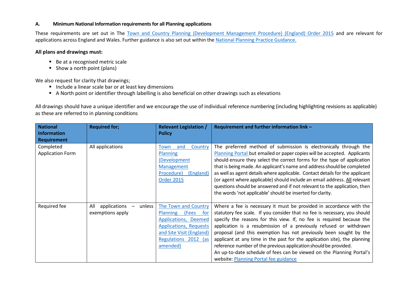## **A. Minimum National Information requirements for all Planning applications**

These requirements are set out in The [Town and Country Planning \(Development Management Procedure\) \(England\) Order 2015](https://www.legislation.gov.uk/uksi/2015/595) and are relevant for applications across England and Wales. Further guidance is also set out within the National [Planning Practice Guidance.](https://www.gov.uk/guidance/making-an-application#National-information-requirements)

## **All plans and drawings must:**

- Be at a recognised metric scale
- $\blacksquare$  Show a north point (plans)

We also request for clarity that drawings;

- Include a linear scale bar or at least key dimensions
- A North point or identifier through labelling is also beneficial on other drawings such as elevations

All drawings should have a unique identifier and we encourage the use of individual reference numbering (including highlighting revisions as applicable) as these are referred to in planning conditions

| <b>National</b>         | <b>Required for;</b>          | <b>Relevant Legislation /</b>  | Requirement and further information link -                                   |
|-------------------------|-------------------------------|--------------------------------|------------------------------------------------------------------------------|
| <b>Information</b>      |                               | <b>Policy</b>                  |                                                                              |
| <b>Requirement</b>      |                               |                                |                                                                              |
| Completed               | All applications              | Country<br>and<br>Town         | The preferred method of submission is electronically through the             |
| <b>Application Form</b> |                               | <b>Planning</b>                | Planning Portal but emailed or paper copies will be accepted. Applicants     |
|                         |                               | (Development                   | should ensure they select the correct forms for the type of application      |
|                         |                               | Management                     | that is being made. An applicant's name and address should be completed      |
|                         |                               | (England)<br>Procedure)        | as well as agent details where applicable. Contact details for the applicant |
|                         |                               | <b>Order 2015</b>              | (or agent where applicable) should include an email address. All relevant    |
|                         |                               |                                | questions should be answered and if not relevant to the application, then    |
|                         |                               |                                | the words 'not applicable' should be inserted for clarity.                   |
|                         |                               |                                |                                                                              |
| Required fee            | All<br>applications<br>unless | The Town and Country           | Where a fee is necessary it must be provided in accordance with the          |
|                         | exemptions apply              | Planning (Fees<br>for <b>f</b> | statutory fee scale. If you consider that no fee is necessary, you should    |
|                         |                               | Applications, Deemed           | specify the reasons for this view. If, no fee is required because the        |
|                         |                               | <b>Applications, Requests</b>  | application is a resubmission of a previously refused or withdrawn           |
|                         |                               | and Site Visit (England)       | proposal (and this exemption has not previously been sought by the           |
|                         |                               | Regulations 2012 (as           | applicant at any time in the past for the application site), the planning    |
|                         |                               | amended)                       | reference number of the previous application should be provided.             |
|                         |                               |                                | An up-to-date schedule of fees can be viewed on the Planning Portal's        |
|                         |                               |                                | website: Planning Portal fee guidance                                        |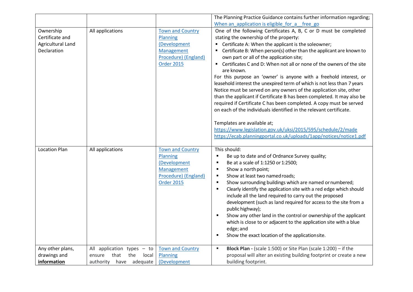|                      |                                |                         | The Planning Practice Guidance contains further information regarding;               |
|----------------------|--------------------------------|-------------------------|--------------------------------------------------------------------------------------|
|                      |                                |                         | When an application is eligible for a free go                                        |
| Ownership            | All applications               | <b>Town and Country</b> | One of the following Certificates A, B, C or D must be completed                     |
| Certificate and      |                                | Planning                | stating the ownership of the property:                                               |
| Agricultural Land    |                                | (Development            | Certificate A: When the applicant is the soleowner;                                  |
| Declaration          |                                | Management              | Certificate B: When person(s) other than the applicant are known to                  |
|                      |                                | Procedure) (England)    | own part or all of the application site;                                             |
|                      |                                | <b>Order 2015</b>       | ■ Certificates C and D: When not all or none of the owners of the site<br>are known. |
|                      |                                |                         | For this purpose an 'owner' is anyone with a freehold interest, or                   |
|                      |                                |                         | leasehold interest the unexpired term of which is not less than 7 years              |
|                      |                                |                         | Notice must be served on any owners of the application site, other                   |
|                      |                                |                         | than the applicant if Certificate B has been completed. It may also be               |
|                      |                                |                         | required if Certificate C has been completed. A copy must be served                  |
|                      |                                |                         | on each of the individuals identified in the relevant certificate.                   |
|                      |                                |                         |                                                                                      |
|                      |                                |                         | Templates are available at;                                                          |
|                      |                                |                         | https://www.legislation.gov.uk/uksi/2015/595/schedule/2/made                         |
|                      |                                |                         | https://ecab.planningportal.co.uk/uploads/1app/notices/notice1.pdf                   |
|                      |                                |                         |                                                                                      |
| <b>Location Plan</b> | All applications               | <b>Town and Country</b> | This should:                                                                         |
|                      |                                | Planning                | Be up to date and of Ordnance Survey quality;<br>п                                   |
|                      |                                | (Development            | Be at a scale of 1:1250 or 1:2500;<br>п                                              |
|                      |                                | Management              | Show a north point;<br>٠                                                             |
|                      |                                | Procedure) (England)    | Show at least two named roads;<br>п                                                  |
|                      |                                | <b>Order 2015</b>       | Show surrounding buildings which are named or numbered;<br>п                         |
|                      |                                |                         | Clearly identify the application site with a red edge which should<br>$\blacksquare$ |
|                      |                                |                         | include all the land required to carry out the proposed                              |
|                      |                                |                         | development (such as land required for access to the site from a                     |
|                      |                                |                         | public highway);                                                                     |
|                      |                                |                         | Show any other land in the control or ownership of the applicant<br>٠                |
|                      |                                |                         | which is close to or adjacent to the application site with a blue                    |
|                      |                                |                         | edge; and                                                                            |
|                      |                                |                         | Show the exact location of the applicationsite.<br>п                                 |
|                      |                                |                         |                                                                                      |
| Any other plans,     | All application types - to     | <b>Town and Country</b> | <b>Block Plan - (scale 1:500) or Site Plan (scale 1:200)</b> - if the<br>g,          |
| drawings and         | that<br>the<br>ensure<br>local | Planning                | proposal will alter an existing building footprint or create a new                   |
| information          | authority have adequate        | (Development            | building footprint.                                                                  |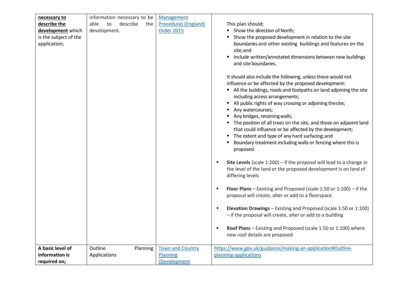| necessary to          | information necessary to be   | Management              |                                                                                                                                                                                                                                                                                                                                                                                                                                                                                                                                                                                                          |
|-----------------------|-------------------------------|-------------------------|----------------------------------------------------------------------------------------------------------------------------------------------------------------------------------------------------------------------------------------------------------------------------------------------------------------------------------------------------------------------------------------------------------------------------------------------------------------------------------------------------------------------------------------------------------------------------------------------------------|
| describe the          | able<br>describe<br>to<br>the | Procedure) (England)    | This plan should;                                                                                                                                                                                                                                                                                                                                                                                                                                                                                                                                                                                        |
| development which     | development.                  | <b>Order 2015</b>       | Show the direction of North;                                                                                                                                                                                                                                                                                                                                                                                                                                                                                                                                                                             |
| is the subject of the |                               |                         | Show the proposed development in relation to the site                                                                                                                                                                                                                                                                                                                                                                                                                                                                                                                                                    |
| application;          |                               |                         | boundaries and other existing buildings and features on the                                                                                                                                                                                                                                                                                                                                                                                                                                                                                                                                              |
|                       |                               |                         | site; and                                                                                                                                                                                                                                                                                                                                                                                                                                                                                                                                                                                                |
|                       |                               |                         | Include written/annotated dimensions between new buildings                                                                                                                                                                                                                                                                                                                                                                                                                                                                                                                                               |
|                       |                               |                         | and site boundaries.                                                                                                                                                                                                                                                                                                                                                                                                                                                                                                                                                                                     |
|                       |                               |                         | It should also include the following, unless these would not<br>influence or be affected by the proposed development:<br>All the buildings, roads and footpaths on land adjoining the site<br>including access arrangements;<br>All public rights of way crossing or adjoining thesite;<br>٠<br>Any watercourses;<br>Any bridges, retaining walls;<br>The position of all trees on the site, and those on adjacent land<br>that could influence or be affected by the development;<br>The extent and type of any hard surfacing; and<br>٠<br>Boundary treatment including walls or fencing where this is |
|                       |                               |                         | proposed.                                                                                                                                                                                                                                                                                                                                                                                                                                                                                                                                                                                                |
|                       |                               |                         | Site Levels (scale $1:200$ ) – if the proposal will lead to a change in<br>п<br>the level of the land or the proposed development is on land of<br>differing levels                                                                                                                                                                                                                                                                                                                                                                                                                                      |
|                       |                               |                         | <b>Floor Plans</b> – Existing and Proposed (scale 1:50 or 1:100) – if the<br>g,<br>proposal will create, alter or add to a floorspace                                                                                                                                                                                                                                                                                                                                                                                                                                                                    |
|                       |                               |                         | Elevation Drawings - Existing and Proposed (scale 1:50 or 1:100)<br>٠<br>- if the proposal will create, alter or add to a building                                                                                                                                                                                                                                                                                                                                                                                                                                                                       |
|                       |                               |                         | Roof Plans - Existing and Proposed (scale 1:50 or 1:100) where<br>п<br>new roof details are proposed                                                                                                                                                                                                                                                                                                                                                                                                                                                                                                     |
| A basic level of      | Outline<br>Planning           | <b>Town and Country</b> | https://www.gov.uk/guidance/making-an-application#Outline-                                                                                                                                                                                                                                                                                                                                                                                                                                                                                                                                               |
| information is        | Applications                  | Planning                | planning-applications                                                                                                                                                                                                                                                                                                                                                                                                                                                                                                                                                                                    |
| required on;          |                               | (Development            |                                                                                                                                                                                                                                                                                                                                                                                                                                                                                                                                                                                                          |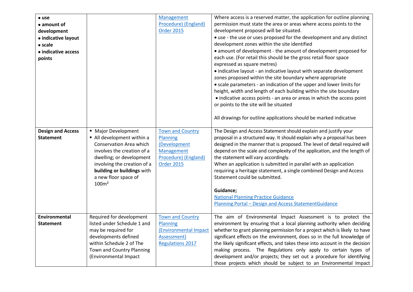| $\bullet$ use<br>$\bullet$ amount of<br>development<br>• indicative layout<br>$\bullet$ scale<br>• indicative access<br>points<br><b>Design and Access</b><br><b>Statement</b> | • Major Development<br>All development within a<br>Conservation Area which<br>involves the creation of a<br>dwelling; or development<br>involving the creation of a<br>building or buildings with<br>a new floor space of | Management<br>Procedure) (England)<br><b>Order 2015</b><br><b>Town and Country</b><br>Planning<br>(Development<br>Management<br>Procedure) (England)<br><b>Order 2015</b> | Where access is a reserved matter, the application for outline planning<br>permission must state the area or areas where access points to the<br>development proposed will be situated.<br>• use - the use or uses proposed for the development and any distinct<br>development zones within the site identified<br>• amount of development - the amount of development proposed for<br>each use. (For retail this should be the gross retail floor space<br>expressed as square metres)<br>• indicative layout - an indicative layout with separate development<br>zones proposed within the site boundary where appropriate<br>• scale parameters - an indication of the upper and lower limits for<br>height, width and length of each building within the site boundary<br>• indicative access points - an area or areas in which the access point<br>or points to the site will be situated<br>All drawings for outline applications should be marked indicative<br>The Design and Access Statement should explain and justify your<br>proposal in a structured way. It should explain why a proposal has been<br>designed in the manner that is proposed. The level of detail required will<br>depend on the scale and complexity of the application, and the length of<br>the statement will vary accordingly.<br>When an application is submitted in parallel with an application<br>requiring a heritage statement, a single combined Design and Access<br>Statement could be submitted. |
|--------------------------------------------------------------------------------------------------------------------------------------------------------------------------------|---------------------------------------------------------------------------------------------------------------------------------------------------------------------------------------------------------------------------|---------------------------------------------------------------------------------------------------------------------------------------------------------------------------|---------------------------------------------------------------------------------------------------------------------------------------------------------------------------------------------------------------------------------------------------------------------------------------------------------------------------------------------------------------------------------------------------------------------------------------------------------------------------------------------------------------------------------------------------------------------------------------------------------------------------------------------------------------------------------------------------------------------------------------------------------------------------------------------------------------------------------------------------------------------------------------------------------------------------------------------------------------------------------------------------------------------------------------------------------------------------------------------------------------------------------------------------------------------------------------------------------------------------------------------------------------------------------------------------------------------------------------------------------------------------------------------------------------------------------------------------------------------------------------------------|
|                                                                                                                                                                                | 100m <sup>2</sup>                                                                                                                                                                                                         |                                                                                                                                                                           | Guidance;<br><b>National Planning Practice Guidance</b><br>Planning Portal - Design and Access StatementGuidance                                                                                                                                                                                                                                                                                                                                                                                                                                                                                                                                                                                                                                                                                                                                                                                                                                                                                                                                                                                                                                                                                                                                                                                                                                                                                                                                                                                  |
| Environmental<br><b>Statement</b>                                                                                                                                              | Required for development<br>listed under Schedule 1 and<br>may be required for<br>developments defined<br>within Schedule 2 of The<br>Town and Country Planning<br>(Environmental Impact                                  | <b>Town and Country</b><br>Planning<br>(Environmental Impact<br>Assessment)<br><b>Regulations 2017</b>                                                                    | The aim of Environmental Impact Assessment is to protect the<br>environment by ensuring that a local planning authority when deciding<br>whether to grant planning permission for a project which is likely to have<br>significant effects on the environment, does so in the full knowledge of<br>the likely significant effects, and takes these into account in the decision<br>making process. The Regulations only apply to certain types of<br>development and/or projects; they set out a procedure for identifying<br>those projects which should be subject to an Environmental Impact                                                                                                                                                                                                                                                                                                                                                                                                                                                                                                                                                                                                                                                                                                                                                                                                                                                                                                   |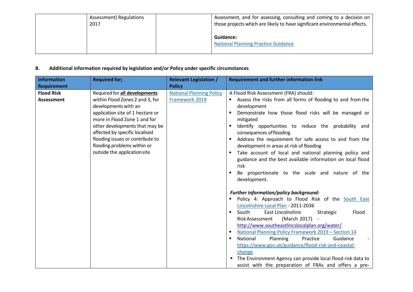| Assessment) Regulations | Assessment, and for assessing, consulting and coming to a decision on      |
|-------------------------|----------------------------------------------------------------------------|
| 2017                    | those projects which are likely to have significant environmental effects. |
|                         | <b>Guidance:</b><br><b>National Planning Practice Guidance</b>             |

# **B. Additional information required by legislation and/or Policy under specific circumstances**

| <b>Information</b> | <b>Required for;</b>             | <b>Relevant Legislation /</b>   | <b>Requirement and further information link</b>                        |
|--------------------|----------------------------------|---------------------------------|------------------------------------------------------------------------|
| <b>Requirement</b> |                                  | <b>Policy</b>                   |                                                                        |
| <b>Flood Risk</b>  | Required for all developments    | <b>National Planning Policy</b> | A Flood Risk Assessment (FRA) should:                                  |
| <b>Assessment</b>  | within Flood Zones 2 and 3, for  | Framework 2019                  | Assess the risks from all forms of flooding to and from the            |
|                    | developments with an             |                                 | development                                                            |
|                    | application site of 1 hectare or |                                 | Demonstrate how those flood risks will be managed or                   |
|                    | more in Flood Zone 1 and for     |                                 | mitigated                                                              |
|                    | other developments that may be   |                                 | Identify opportunities to reduce the probability and                   |
|                    | affected by specific localised   |                                 | consequences of flooding                                               |
|                    | flooding issues or contribute to |                                 | Address the requirement for safe access to and from the                |
|                    | flooding problems within or      |                                 | development in areas at risk of flooding                               |
|                    | outside the application site     |                                 | Take account of local and national planning policy and                 |
|                    |                                  |                                 | guidance and the best available information on local flood             |
|                    |                                  |                                 | risk                                                                   |
|                    |                                  |                                 | Be proportionate to the scale and nature of the<br>٠                   |
|                    |                                  |                                 | development.                                                           |
|                    |                                  |                                 |                                                                        |
|                    |                                  |                                 | <b>Further information/policy background:</b>                          |
|                    |                                  |                                 | Policy 4: Approach to Flood Risk of the South East                     |
|                    |                                  |                                 | Lincolnshire Local Plan - 2011-2036                                    |
|                    |                                  |                                 | South<br>East Lincolnshire<br>Flood<br>Strategic<br>$\blacksquare$     |
|                    |                                  |                                 | Risk Assessment<br>(March 2017)                                        |
|                    |                                  |                                 | http://www.southeastlincslocalplan.org/water/                          |
|                    |                                  |                                 | National Planning Policy Framework 2019 - Section 14<br>$\blacksquare$ |
|                    |                                  |                                 | National<br>Planning<br>Practice<br>Guidance<br>٠                      |
|                    |                                  |                                 | https://www.gov.uk/guidance/flood-risk-and-coastal-                    |
|                    |                                  |                                 | change                                                                 |
|                    |                                  |                                 | The Environment Agency can provide local flood risk data to            |
|                    |                                  |                                 | assist with the preparation of FRAs and offers a pre-                  |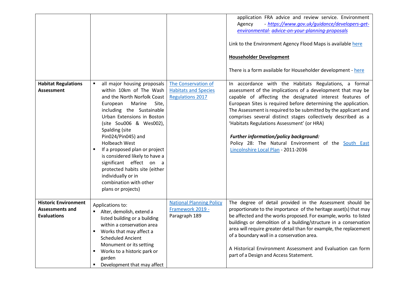|                                                                             |                                                                                                                                                                                                                                                                                                                                                                                                                                                                                 |                                                                               | application FRA advice and review service. Environment<br>- https://www.gov.uk/guidance/developers-get-<br>Agency<br>environmental- advice-on-your-planning-proposals<br>Link to the Environment Agency Flood Maps is available here<br><b>Householder Development</b><br>There is a form available for Householder development - here                                                                                                                                                                                                                                        |
|-----------------------------------------------------------------------------|---------------------------------------------------------------------------------------------------------------------------------------------------------------------------------------------------------------------------------------------------------------------------------------------------------------------------------------------------------------------------------------------------------------------------------------------------------------------------------|-------------------------------------------------------------------------------|-------------------------------------------------------------------------------------------------------------------------------------------------------------------------------------------------------------------------------------------------------------------------------------------------------------------------------------------------------------------------------------------------------------------------------------------------------------------------------------------------------------------------------------------------------------------------------|
| <b>Habitat Regulations</b><br><b>Assessment</b>                             | all major housing proposals<br>within 10km of The Wash<br>and the North Norfolk Coast<br>Site,<br>European<br>Marine<br>including the Sustainable<br>Urban Extensions in Boston<br>(site Sou006 & Wes002),<br>Spalding (site<br>Pin024/Pin045) and<br><b>Holbeach West</b><br>If a proposed plan or project<br>is considered likely to have a<br>significant effect on a<br>protected habits site (either<br>individually or in<br>combination with other<br>plans or projects) | The Conservation of<br><b>Habitats and Species</b><br><b>Regulations 2017</b> | In accordance with the Habitats Regulations, a formal<br>assessment of the implications of a development that may be<br>capable of affecting the designated interest features of<br>European Sites is required before determining the application.<br>The Assessment is required to be submitted by the applicant and<br>comprises several distinct stages collectively described as a<br>'Habitats Regulations Assessment' (or HRA)<br>Further information/policy background:<br>Policy 28: The Natural Environment of the South East<br>Lincolnshire Local Plan - 2011-2036 |
| <b>Historic Environment</b><br><b>Assessments and</b><br><b>Evaluations</b> | Applications to:<br>Alter, demolish, extend a<br>listed building or a building<br>within a conservation area<br>Works that may affect a<br><b>Scheduled Ancient</b><br>Monument or its setting<br>Works to a historic park or<br>٠<br>garden<br>Development that may affect                                                                                                                                                                                                     | <b>National Planning Policy</b><br>Framework 2019 -<br>Paragraph 189          | The degree of detail provided in the Assessment should be<br>proportionate to the importance of the heritage asset(s) that may<br>be affected and the works proposed. For example, works to listed<br>buildings or demolition of a building/structure in a conservation<br>area will require greater detail than for example, the replacement<br>of a boundary wall in a conservation area.<br>A Historical Environment Assessment and Evaluation can form<br>part of a Design and Access Statement.                                                                          |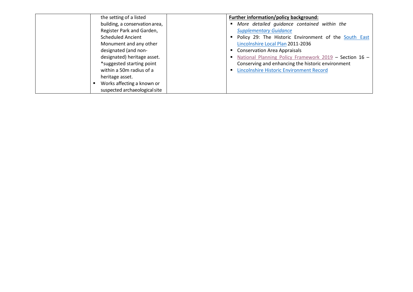| the setting of a listed        | Further information/policy background:                 |
|--------------------------------|--------------------------------------------------------|
| building, a conservation area, | More detailed guidance contained within the            |
| Register Park and Garden,      | <b>Supplementary Guidance</b>                          |
| <b>Scheduled Ancient</b>       | Policy 29: The Historic Environment of the South East  |
| Monument and any other         | Lincolnshire Local Plan 2011-2036                      |
| designated (and non-           | <b>Conservation Area Appraisals</b>                    |
| designated) heritage asset.    | National Planning Policy Framework 2019 - Section 16 - |
| *suggested starting point      | Conserving and enhancing the historic environment      |
| within a 50m radius of a       | <b>Lincolnshire Historic Environment Record</b>        |
| heritage asset.                |                                                        |
| Works affecting a known or     |                                                        |
| suspected archaeological site  |                                                        |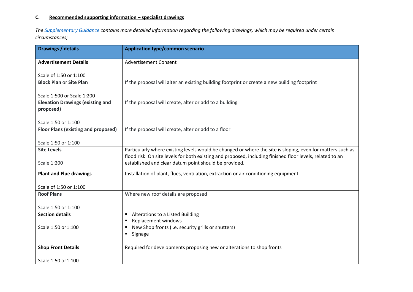# **C. Recommended supporting information – specialist drawings**

*The [Supplementary](https://www.mybostonuk.com/development-management/submitting-an-application-forms-fees-and-guidance/) Guidance contains more detailed information regarding the following drawings, which may be required under certain circumstances;*

| <b>Drawings / details</b>               | <b>Application type/common scenario</b>                                                                    |
|-----------------------------------------|------------------------------------------------------------------------------------------------------------|
| <b>Advertisement Details</b>            | <b>Advertisement Consent</b>                                                                               |
| Scale of 1:50 or 1:100                  |                                                                                                            |
| <b>Block Plan or Site Plan</b>          | If the proposal will alter an existing building footprint or create a new building footprint               |
| Scale 1:500 or Scale 1:200              |                                                                                                            |
| <b>Elevation Drawings (existing and</b> | If the proposal will create, alter or add to a building                                                    |
| proposed)                               |                                                                                                            |
| Scale 1:50 or 1:100                     |                                                                                                            |
| Floor Plans (existing and proposed)     | If the proposal will create, alter or add to a floor                                                       |
|                                         |                                                                                                            |
| Scale 1:50 or 1:100                     |                                                                                                            |
| <b>Site Levels</b>                      | Particularly where existing levels would be changed or where the site is sloping, even for matters such as |
|                                         | flood risk. On site levels for both existing and proposed, including finished floor levels, related to an  |
| Scale 1:200                             | established and clear datum point should be provided.                                                      |
| <b>Plant and Flue drawings</b>          | Installation of plant, flues, ventilation, extraction or air conditioning equipment.                       |
| Scale of 1:50 or 1:100                  |                                                                                                            |
| <b>Roof Plans</b>                       | Where new roof details are proposed                                                                        |
|                                         |                                                                                                            |
| Scale 1:50 or 1:100                     |                                                                                                            |
| <b>Section details</b>                  | Alterations to a Listed Building                                                                           |
|                                         | Replacement windows                                                                                        |
| Scale 1:50 or 1:100                     | New Shop fronts (i.e. security grills or shutters)                                                         |
|                                         | Signage<br>٠                                                                                               |
| <b>Shop Front Details</b>               | Required for developments proposing new or alterations to shop fronts                                      |
| Scale 1:50 or 1:100                     |                                                                                                            |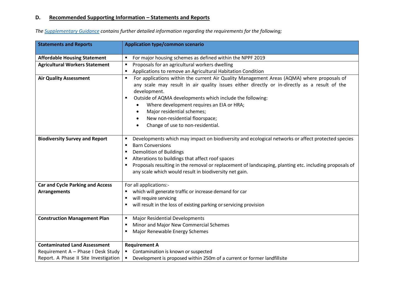# **D. Recommended Supporting Information – Statements and Reports**

| <b>Statements and Reports</b>           | <b>Application type/common scenario</b>                                                                |
|-----------------------------------------|--------------------------------------------------------------------------------------------------------|
| <b>Affordable Housing Statement</b>     | For major housing schemes as defined within the NPPF 2019                                              |
| <b>Agricultural Workers Statement</b>   | Proposals for an agricultural workers dwelling<br>٠                                                    |
|                                         | Applications to remove an Agricultural Habitation Condition                                            |
| <b>Air Quality Assessment</b>           | For applications within the current Air Quality Management Areas (AQMA) where proposals of<br>٠        |
|                                         | any scale may result in air quality issues either directly or in-directly as a result of the           |
|                                         | development.                                                                                           |
|                                         | Outside of AQMA developments which include the following:<br>٠                                         |
|                                         |                                                                                                        |
|                                         | Where development requires an EIA or HRA;<br>٠                                                         |
|                                         | Major residential schemes;<br>$\bullet$                                                                |
|                                         | New non-residential floorspace;<br>$\bullet$                                                           |
|                                         | Change of use to non-residential.                                                                      |
| <b>Biodiversity Survey and Report</b>   | Developments which may impact on biodiversity and ecological networks or affect protected species      |
|                                         | <b>Barn Conversions</b><br>$\blacksquare$                                                              |
|                                         | <b>Demolition of Buildings</b><br>п                                                                    |
|                                         | Alterations to buildings that affect roof spaces                                                       |
|                                         | Proposals resulting in the removal or replacement of landscaping, planting etc. including proposals of |
|                                         | any scale which would result in biodiversity net gain.                                                 |
|                                         |                                                                                                        |
| <b>Car and Cycle Parking and Access</b> | For all applications:-                                                                                 |
| <b>Arrangements</b>                     | which will generate traffic or increase demand for car                                                 |
|                                         | will require servicing                                                                                 |
|                                         | will result in the loss of existing parking or servicing provision                                     |
| <b>Construction Management Plan</b>     | <b>Major Residential Developments</b>                                                                  |
|                                         | Minor and Major New Commercial Schemes                                                                 |
|                                         | Major Renewable Energy Schemes                                                                         |
| <b>Contaminated Land Assessment</b>     | <b>Requirement A</b>                                                                                   |
| Requirement A - Phase I Desk Study      | Contamination is known or suspected                                                                    |
| Report. A Phase II Site Investigation   | Development is proposed within 250m of a current or former landfillsite<br>$\blacksquare$              |

*The [Supplementary](https://www.mybostonuk.com/development-management/submitting-an-application-forms-fees-and-guidance/) Guidance contains further detailed information regarding the requirements for the following;*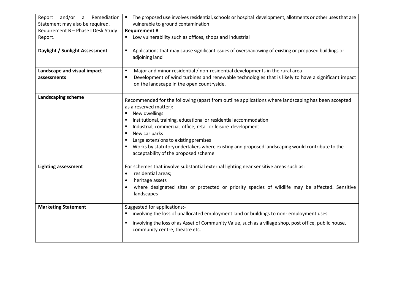| and/or<br>Remediation<br>Report<br>$\overline{a}$<br>Statement may also be required.<br>Requirement B - Phase I Desk Study<br>Report.<br>Daylight / Sunlight Assessment | The proposed use involves residential, schools or hospital development, allotments or other uses that are<br>$\blacksquare$<br>vulnerable to ground contamination<br><b>Requirement B</b><br>Low vulnerability such as offices, shops and industrial<br>٠<br>Applications that may cause significant issues of overshadowing of existing or proposed buildings or                                                                                                                            |
|-------------------------------------------------------------------------------------------------------------------------------------------------------------------------|----------------------------------------------------------------------------------------------------------------------------------------------------------------------------------------------------------------------------------------------------------------------------------------------------------------------------------------------------------------------------------------------------------------------------------------------------------------------------------------------|
|                                                                                                                                                                         | adjoining land                                                                                                                                                                                                                                                                                                                                                                                                                                                                               |
| Landscape and visual impact                                                                                                                                             | Major and minor residential / non-residential developments in the rural area<br>$\blacksquare$                                                                                                                                                                                                                                                                                                                                                                                               |
| assessments                                                                                                                                                             | Development of wind turbines and renewable technologies that is likely to have a significant impact<br>$\blacksquare$<br>on the landscape in the open countryside.                                                                                                                                                                                                                                                                                                                           |
| Landscaping scheme                                                                                                                                                      | Recommended for the following (apart from outline applications where landscaping has been accepted<br>as a reserved matter):<br>New dwellings<br>٠<br>Institutional, training, educational or residential accommodation<br>Industrial, commercial, office, retail or leisure development<br>New car parks<br>Large extensions to existing premises<br>Works by statutory undertakers where existing and proposed landscaping would contribute to the<br>acceptability of the proposed scheme |
| <b>Lighting assessment</b>                                                                                                                                              | For schemes that involve substantial external lighting near sensitive areas such as:                                                                                                                                                                                                                                                                                                                                                                                                         |
|                                                                                                                                                                         | residential areas;<br>heritage assets                                                                                                                                                                                                                                                                                                                                                                                                                                                        |
|                                                                                                                                                                         | where designated sites or protected or priority species of wildlife may be affected. Sensitive<br>landscapes                                                                                                                                                                                                                                                                                                                                                                                 |
| <b>Marketing Statement</b>                                                                                                                                              | Suggested for applications:-                                                                                                                                                                                                                                                                                                                                                                                                                                                                 |
|                                                                                                                                                                         | involving the loss of unallocated employment land or buildings to non-employment uses                                                                                                                                                                                                                                                                                                                                                                                                        |
|                                                                                                                                                                         | involving the loss of as Asset of Community Value, such as a village shop, post office, public house,<br>community centre, theatre etc.                                                                                                                                                                                                                                                                                                                                                      |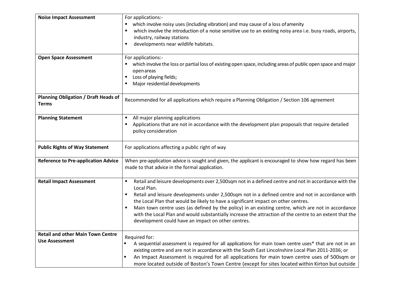| <b>Noise Impact Assessment</b><br><b>Open Space Assessment</b>    | For applications:-<br>which involve noisy uses (including vibration) and may cause of a loss of amenity<br>which involve the introduction of a noise sensitive use to an existing noisy area i.e. busy roads, airports,<br>industry, railway stations<br>developments near wildlife habitats.<br>٠<br>For applications:-<br>which involve the loss or partial loss of existing open space, including areas of public open space and major<br>openareas<br>Loss of playing fields;<br>Major residential developments<br>٠                                                                    |
|-------------------------------------------------------------------|---------------------------------------------------------------------------------------------------------------------------------------------------------------------------------------------------------------------------------------------------------------------------------------------------------------------------------------------------------------------------------------------------------------------------------------------------------------------------------------------------------------------------------------------------------------------------------------------|
| <b>Planning Obligation / Draft Heads of</b><br><b>Terms</b>       | Recommended for all applications which require a Planning Obligation / Section 106 agreement                                                                                                                                                                                                                                                                                                                                                                                                                                                                                                |
| <b>Planning Statement</b>                                         | All major planning applications<br>٠<br>Applications that are not in accordance with the development plan proposals that require detailed<br>policy consideration                                                                                                                                                                                                                                                                                                                                                                                                                           |
| <b>Public Rights of Way Statement</b>                             | For applications affecting a public right of way                                                                                                                                                                                                                                                                                                                                                                                                                                                                                                                                            |
| <b>Reference to Pre-application Advice</b>                        | When pre-application advice is sought and given, the applicant is encouraged to show how regard has been<br>made to that advice in the formal application.                                                                                                                                                                                                                                                                                                                                                                                                                                  |
| <b>Retail Impact Assessment</b>                                   | Retail and leisure developments over 2,500sqm not in a defined centre and not in accordance with the<br>Local Plan.<br>Retail and leisure developments under 2,500sqm not in a defined centre and not in accordance with<br>٠<br>the Local Plan that would be likely to have a significant impact on other centres.<br>Main town centre uses (as defined by the policy) in an existing centre, which are not in accordance<br>with the Local Plan and would substantially increase the attraction of the centre to an extent that the<br>development could have an impact on other centres. |
| <b>Retail and other Main Town Centre</b><br><b>Use Assessment</b> | Required for:<br>A sequential assessment is required for all applications for main town centre uses* that are not in an<br>existing centre and are not in accordance with the South East Lincolnshire Local Plan 2011-2036; or<br>An Impact Assessment is required for all applications for main town centre uses of 500sqm or<br>more located outside of Boston's Town Centre (except for sites located within Kirton but outside                                                                                                                                                          |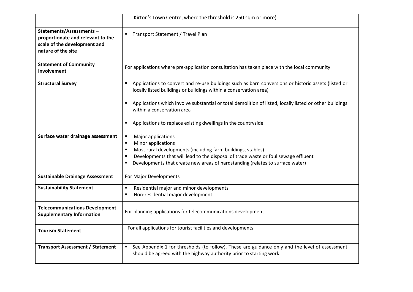|                                                                                                                    | Kirton's Town Centre, where the threshold is 250 sqm or more)                                                                                                                                                                                                                                                                       |
|--------------------------------------------------------------------------------------------------------------------|-------------------------------------------------------------------------------------------------------------------------------------------------------------------------------------------------------------------------------------------------------------------------------------------------------------------------------------|
| Statements/Assessments-<br>proportionate and relevant to the<br>scale of the development and<br>nature of the site | Transport Statement / Travel Plan<br>٠                                                                                                                                                                                                                                                                                              |
| <b>Statement of Community</b><br>Involvement                                                                       | For applications where pre-application consultation has taken place with the local community                                                                                                                                                                                                                                        |
| <b>Structural Survey</b>                                                                                           | Applications to convert and re-use buildings such as barn conversions or historic assets (listed or<br>$\blacksquare$<br>locally listed buildings or buildings within a conservation area)<br>Applications which involve substantial or total demolition of listed, locally listed or other buildings<br>within a conservation area |
|                                                                                                                    | Applications to replace existing dwellings in the countryside<br>٠                                                                                                                                                                                                                                                                  |
| Surface water drainage assessment                                                                                  | Major applications<br>$\blacksquare$<br>Minor applications<br>Most rural developments (including farm buildings, stables)<br>Developments that will lead to the disposal of trade waste or foul sewage effluent<br>Developments that create new areas of hardstanding (relates to surface water)                                    |
| <b>Sustainable Drainage Assessment</b>                                                                             | For Major Developments                                                                                                                                                                                                                                                                                                              |
| <b>Sustainability Statement</b>                                                                                    | Residential major and minor developments<br>$\blacksquare$<br>Non-residential major development                                                                                                                                                                                                                                     |
| <b>Telecommunications Development</b><br><b>Supplementary Information</b>                                          | For planning applications for telecommunications development                                                                                                                                                                                                                                                                        |
| <b>Tourism Statement</b>                                                                                           | For all applications for tourist facilities and developments                                                                                                                                                                                                                                                                        |
| <b>Transport Assessment / Statement</b>                                                                            | See Appendix 1 for thresholds (to follow). These are guidance only and the level of assessment<br>$\blacksquare$<br>should be agreed with the highway authority prior to starting work                                                                                                                                              |